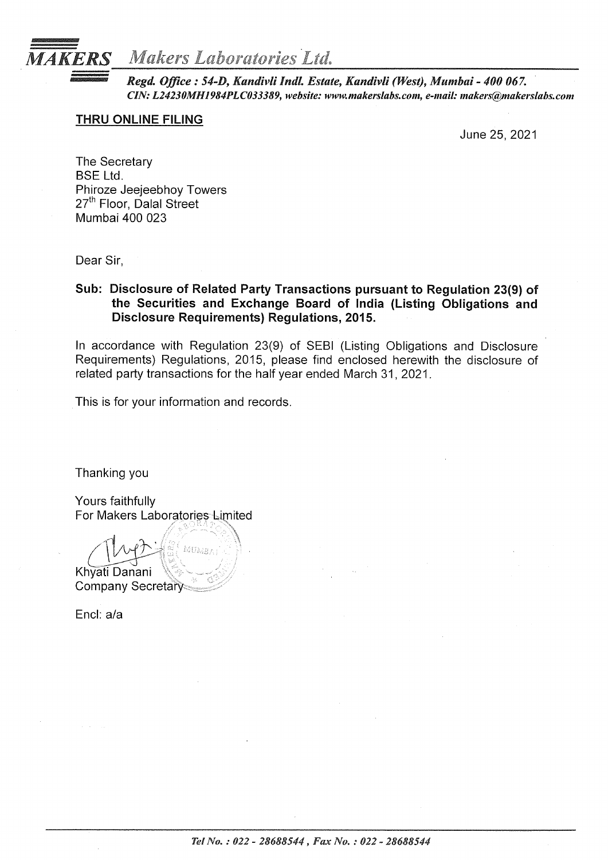

*Regd. Office: 54-D, Kandivli lndl. Estate, Kandivli (West), Mumbai- 400 067. CIN: L24230MH1984PLC033389, website: www.makerslabs.com, e-mail: makers@makerslabs.com* 

## THRU ONLINE FILING

June 25, 2021

The Secretary BSE Ltd. Phiroze Jeejeebhoy Towers 27<sup>th</sup> Floor, Dalal Street Mumbai 400 023

Dear Sir,

## Sub: Disclosure of Related Party Transactions pursuant to Regulation 23(9) of the Securities and Exchange Board of India (Listing Obligations and Disclosure Requirements) Regulations, 2015.

In accordance with Regulation 23(9) of SEBI (Listing Obligations and Disclosure Requirements) Regulations, 20.15, please find enclosed herewith the disclosure of related party transactions for the half year ended March 31, 2021.

This is for your information and records.

Thanking you

Yours faithfully For Makers Laboratories Limited

 $(\mu)$   $(\frac{1}{2})$ Khyati Danani \ <sup>~</sup> Company Secretary<

Encl: a/a